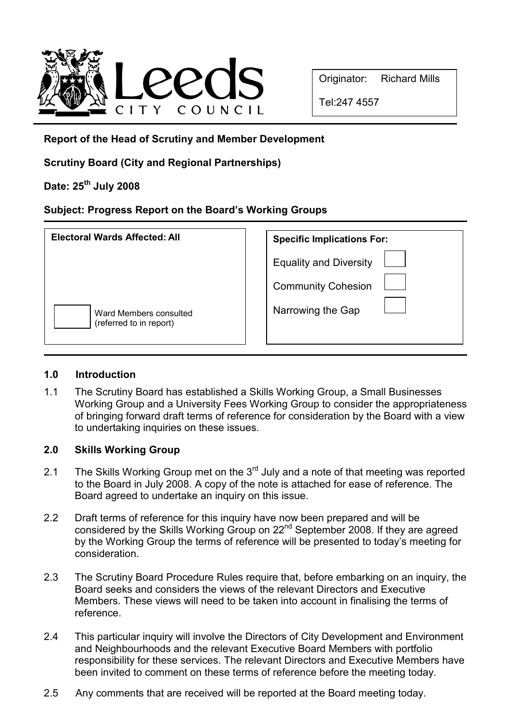

Tel:247 4557

Report of the Head of Scrutiny and Member Development

Scrutiny Board (City and Regional Partnerships)

# Date: 25<sup>th</sup> July 2008

## Subject: Progress Report on the Board's Working Groups

| <b>Electoral Wards Affected: All</b>              | <b>Specific Implications For:</b>                          |
|---------------------------------------------------|------------------------------------------------------------|
|                                                   | <b>Equality and Diversity</b><br><b>Community Cohesion</b> |
| Ward Members consulted<br>(referred to in report) | Narrowing the Gap                                          |

## 1.0 Introduction

1.1 The Scrutiny Board has established a Skills Working Group, a Small Businesses Working Group and a University Fees Working Group to consider the appropriateness of bringing forward draft terms of reference for consideration by the Board with a view to undertaking inquiries on these issues.

## 2.0 Skills Working Group

- 2.1 The Skills Working Group met on the  $3<sup>rd</sup>$  July and a note of that meeting was reported to the Board in July 2008. A copy of the note is attached for ease of reference. The Board agreed to undertake an inquiry on this issue.
- 2.2 Draft terms of reference for this inquiry have now been prepared and will be considered by the Skills Working Group on 22<sup>nd</sup> September 2008. If they are agreed by the Working Group the terms of reference will be presented to today's meeting for consideration.
- 2.3 The Scrutiny Board Procedure Rules require that, before embarking on an inquiry, the Board seeks and considers the views of the relevant Directors and Executive Members. These views will need to be taken into account in finalising the terms of reference.
- 2.4 This particular inquiry will involve the Directors of City Development and Environment and Neighbourhoods and the relevant Executive Board Members with portfolio responsibility for these services. The relevant Directors and Executive Members have been invited to comment on these terms of reference before the meeting today.
- 2.5 Any comments that are received will be reported at the Board meeting today.